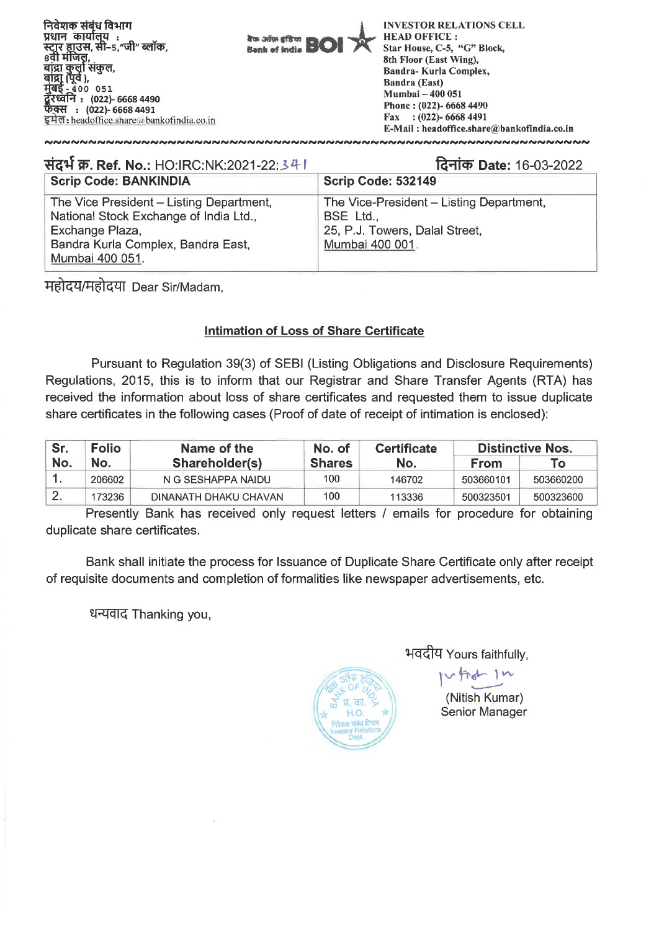**निवेशक संबंध विभाग** प्रधान कार्यालय :<br>स्टार हाउस, सी–5, .<br>–5,"जी" ब्लॉक, 8वीं मंजिल बांद्रा कुर्ला संकुल, बांद्रा (पूर्व ),  $-400$  051 ਸ਼ੋਰਵ ,<br>रध्वनि : (022)- 6668 4490 **Lb\_chLI : (022)- 6668 4491 :** headoffice.share&i bankotindia.co.in



**INVESTOR RELATIONS CELL HEAD OFFICE :**  Star House, C-5, "G" Block, 8th Floor (East Wing), Bandra- Kurla Complex, Bandra (East) Mumbai — 400 051 Phone : (022)- 6668 4490 Fax : (022)- 6668 4491 E-Mail : headoffice.share@bankofindia.co.in

| संदर्भ क्र. Ref. No.: HO:IRC:NK:2021-22:341                                                                                                                    | दिनांक Date: 16-03-2022                                                                                    |  |  |  |  |
|----------------------------------------------------------------------------------------------------------------------------------------------------------------|------------------------------------------------------------------------------------------------------------|--|--|--|--|
| <b>Scrip Code: BANKINDIA</b>                                                                                                                                   | <b>Scrip Code: 532149</b>                                                                                  |  |  |  |  |
| The Vice President - Listing Department,<br>National Stock Exchange of India Ltd.,<br>Exchange Plaza,<br>Bandra Kurla Complex, Bandra East,<br>Mumbai 400 051. | The Vice-President - Listing Department,<br>BSE Ltd.,<br>25, P.J. Towers, Dalal Street,<br>Mumbai 400 001. |  |  |  |  |

महोदय/महोदया Dear Sir/Madam,

## **Intimation of Loss of Share Certificate**

Pursuant to Regulation 39(3) of SEBI (Listing Obligations and Disclosure Requirements) Regulations, 2015, this is to inform that our Registrar and Share Transfer Agents (RTA) has received the information about loss of share certificates and requested them to issue duplicate share certificates in the following cases (Proof of date of receipt of intimation is enclosed):

| Sr. | <b>Folio</b> | Name of the           | No. of        | <b>Certificate</b> | <b>Distinctive Nos.</b> |           |
|-----|--------------|-----------------------|---------------|--------------------|-------------------------|-----------|
| No. | No.          | Shareholder(s)        | <b>Shares</b> | No.                | <b>From</b>             | To.       |
|     | 206602       | N G SESHAPPA NAIDU    | 100           | 146702             | 503660101               | 503660200 |
|     | 173236       | DINANATH DHAKU CHAVAN | 100           | 113336             | 500323501               | 500323600 |

Presently Bank has received only request letters / emails for procedure for obtaining duplicate share certificates.

Bank shall initiate the process for Issuance of Duplicate Share Certificate only after receipt of requisite documents and completion of formalities like newspaper advertisements, etc.

धन्यवाद Thanking you,



भवदीय Yours faithfully,

(Nitish Kumar) Senior Manager

rd In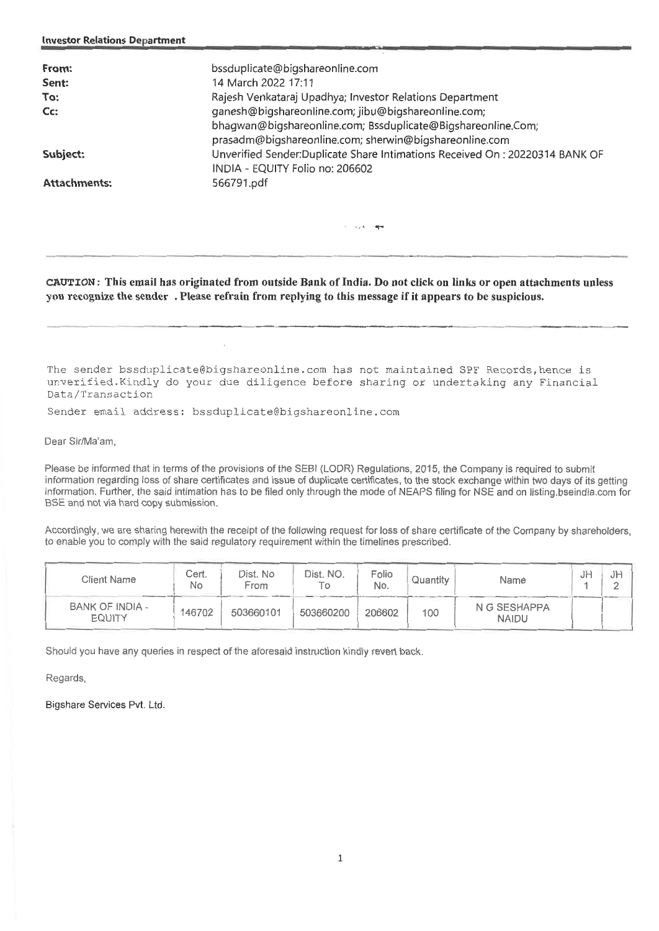| bssduplicate@bigshareonline.com                                                                                        |
|------------------------------------------------------------------------------------------------------------------------|
| 14 March 2022 17:11                                                                                                    |
| Rajesh Venkataraj Upadhya; Investor Relations Department                                                               |
| ganesh@bigshareonline.com; jibu@bigshareonline.com;                                                                    |
| bhagwan@bigshareonline.com; Bssduplicate@Bigshareonline.Com;<br>prasadm@bigshareonline.com; sherwin@bigshareonline.com |
| Unverified Sender:Duplicate Share Intimations Received On: 20220314 BANK OF<br>INDIA - EQUITY Folio no: 206602         |
| 566791.pdf                                                                                                             |
|                                                                                                                        |

وروبا المرجاتين

**CAUTION:** This email has originated from outside Bank of India. Do not click on links or open attachments unless you recognize the sender . Please refrain from replying to this message if it appears to be suspicious.

The sender bssduplicate@bigshareonline.com has not maintained SPF Records,hence is unverified.Kindly do your due diligence before sharing or undertaking any Financial Data/Transaction

Sender email address: bssduplicate@bigshareonline.com

Dear Sir/Ma'am,

Please be informed that in terms of the provisions of the SEBI (LODR) Regulations, 2015, the Company is required to submit information regarding loss of share certificates and issue of duplicate certificates, to the stock exchange within two days of its getting information. Further, the said intimation has to be filed only through the mode of NEAPS filing for NSE and on listing bseindia.com for BSE and not via hard copy submission.

Accordingly, we are sharing herewith the receipt of the following request for loss of share certificate of the Company by shareholders, to enable you to comply with the said regulatory requirement within the timelines prescribed.

| Client Name                             | Cert.<br>No | Dist. No<br>From | Dist. NO. | Folio<br>No. | Quantity | Name                         | JP | JP |
|-----------------------------------------|-------------|------------------|-----------|--------------|----------|------------------------------|----|----|
| <b>BANK OF INDIA -</b><br><b>EQUITY</b> | 146702      | 503660101        | 503660200 | 206602       | 100      | N G SESHAPPA<br><b>NAIDU</b> |    |    |

Should you have any queries in respect of the aforesaid instruction kindly revert back.

Regards,

Bigshare Services Pvt. Ltd.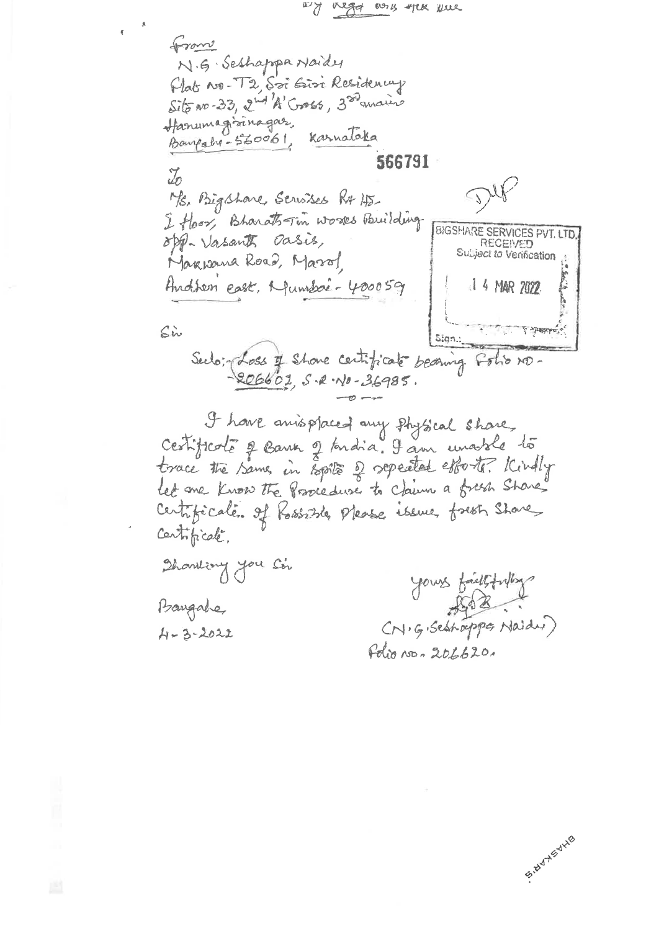wy negot as you were from N.G. Seshappa Naidy Plats No. T2, Soi Ein Residency Site No-33, 2nd 'A' Cross, 300 analis Hanumagisinagas, Karnataka Bangaho-560061, 566791  $\mathbb{Z}$ Ms. Bigshare Servises RA HS I floor, Bharats-Tim works Building **BIGSHARE SERVICES PVT. LTD** opp- Vasants Dasis, RECEIVED Subject to Verification Markhana Road, Marol Andren east, Munison 400059 1 4 MAR 2022  $\zeta$ in Sign.: Sulo: doss of shore certificate becoming Foto ND-<br>-206602, S.R. No. 36985. I have anisplaced any physical share, Cestificate à Bank à toudia. I am unable lo trace the Same, in Epsite of repeated estorts. Kindly let me know the Procedure to Claim a fresh Share' Certificate. of Rossiste, Please issue fresh Share Certificale, Showling you Ser yours faithfully Baugahe,

 $A - 3 - 2022$ 

Folio No. 206620.

Seiter His Y.HS

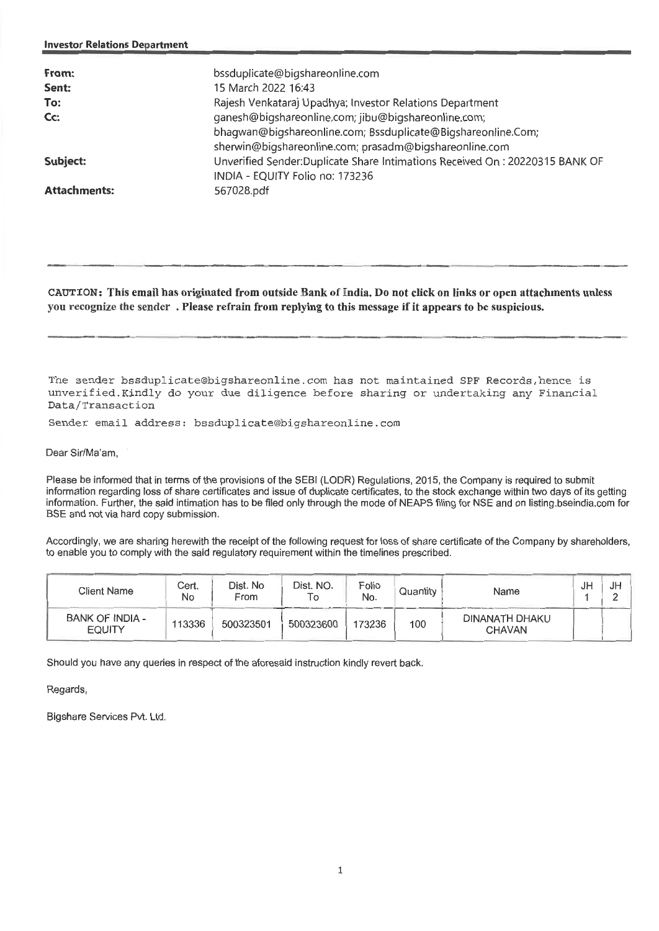| From:<br>Sent:<br>To:<br>Cc:<br>Subject: | bssduplicate@bigshareonline.com<br>15 March 2022 16:43<br>Rajesh Venkataraj Upadhya; Investor Relations Department<br>ganesh@bigshareonline.com; jibu@bigshareonline.com;<br>bhagwan@bigshareonline.com; Bssduplicate@Bigshareonline.Com;<br>sherwin@bigshareonline.com; prasadm@bigshareonline.com<br>Unverified Sender: Duplicate Share Intimations Received On: 20220315 BANK OF |
|------------------------------------------|-------------------------------------------------------------------------------------------------------------------------------------------------------------------------------------------------------------------------------------------------------------------------------------------------------------------------------------------------------------------------------------|
| <b>Attachments:</b>                      | INDIA - EQUITY Folio no: 173236<br>567028.pdf                                                                                                                                                                                                                                                                                                                                       |

**CAUTION: This email has originated from outside Bank of India. Do not click on links or open attachments unless you recognize the sender . Please refrain from replying to this message if it appears to be suspicious.** 

The sender bssduplicate@bigshareonline.com has not maintained SPF Records,hence is unverified.Kindly do your due diligence before sharing or undertaking any Financial Data/Transaction

Sender email address: bssduplicate@bigshareonline.com

Dear Sir/Ma'am,

Please be informed that in terms of the provisions of the SEBI (LODR) Regulations, 2015, the Company is required to submit information regarding loss of share certificates and issue of duplicate certificates, to the stock exchange within two days of its getting information. Further, the said intimation has to be filed only through the mode of NEAPS filing for NSE and on listing.bseindia.com for BSE and not via hard copy submission.

Accordingly, we are sharing herewith the receipt of the following request for loss of share certificate of the Company by shareholders, to enable you to comply with the said regulatory requirement within the timelines prescribed.

| <b>Client Name</b>               | Cert.<br>No | Dist. No<br>From | Dist. NO.<br>To | Folio<br>No. | Quantity | Name                            | JF | JH |
|----------------------------------|-------------|------------------|-----------------|--------------|----------|---------------------------------|----|----|
| BANK OF INDIA -<br><b>EQUITY</b> | 113336      | 500323501        | 500323600       | 173236       | 100      | DINANATH DHAKU<br><b>CHAVAN</b> |    |    |

Should you have any queries in respect of the aforesaid instruction kindly revert back.

Regards,

Bigshare Services Pvt. Ltd.